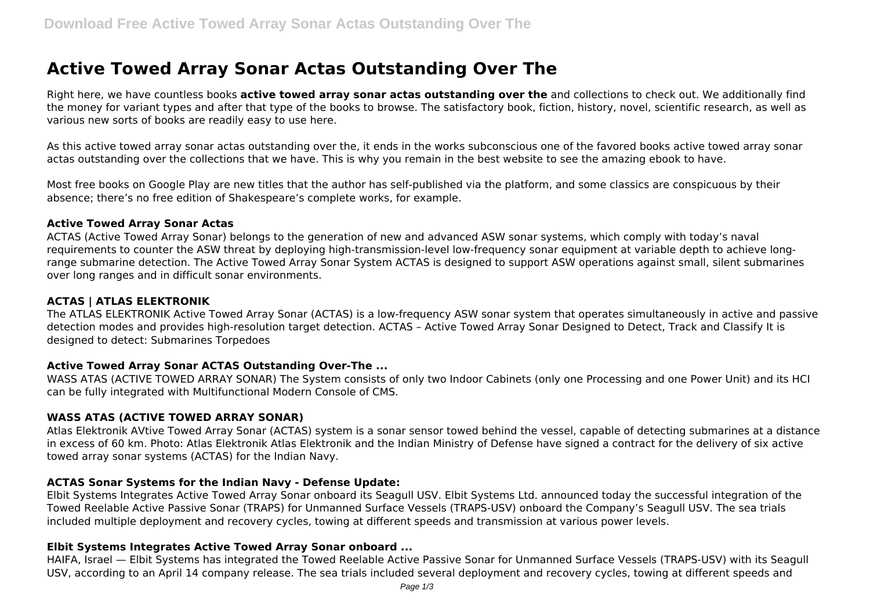# **Active Towed Array Sonar Actas Outstanding Over The**

Right here, we have countless books **active towed array sonar actas outstanding over the** and collections to check out. We additionally find the money for variant types and after that type of the books to browse. The satisfactory book, fiction, history, novel, scientific research, as well as various new sorts of books are readily easy to use here.

As this active towed array sonar actas outstanding over the, it ends in the works subconscious one of the favored books active towed array sonar actas outstanding over the collections that we have. This is why you remain in the best website to see the amazing ebook to have.

Most free books on Google Play are new titles that the author has self-published via the platform, and some classics are conspicuous by their absence; there's no free edition of Shakespeare's complete works, for example.

#### **Active Towed Array Sonar Actas**

ACTAS (Active Towed Array Sonar) belongs to the generation of new and advanced ASW sonar systems, which comply with today's naval requirements to counter the ASW threat by deploying high-transmission-level low-frequency sonar equipment at variable depth to achieve longrange submarine detection. The Active Towed Array Sonar System ACTAS is designed to support ASW operations against small, silent submarines over long ranges and in difficult sonar environments.

## **ACTAS | ATLAS ELEKTRONIK**

The ATLAS ELEKTRONIK Active Towed Array Sonar (ACTAS) is a low-frequency ASW sonar system that operates simultaneously in active and passive detection modes and provides high-resolution target detection. ACTAS – Active Towed Array Sonar Designed to Detect, Track and Classify It is designed to detect: Submarines Torpedoes

## **Active Towed Array Sonar ACTAS Outstanding Over-The ...**

WASS ATAS (ACTIVE TOWED ARRAY SONAR) The System consists of only two Indoor Cabinets (only one Processing and one Power Unit) and its HCI can be fully integrated with Multifunctional Modern Console of CMS.

## **WASS ATAS (ACTIVE TOWED ARRAY SONAR)**

Atlas Elektronik AVtive Towed Array Sonar (ACTAS) system is a sonar sensor towed behind the vessel, capable of detecting submarines at a distance in excess of 60 km. Photo: Atlas Elektronik Atlas Elektronik and the Indian Ministry of Defense have signed a contract for the delivery of six active towed array sonar systems (ACTAS) for the Indian Navy.

## **ACTAS Sonar Systems for the Indian Navy - Defense Update:**

Elbit Systems Integrates Active Towed Array Sonar onboard its Seagull USV. Elbit Systems Ltd. announced today the successful integration of the Towed Reelable Active Passive Sonar (TRAPS) for Unmanned Surface Vessels (TRAPS-USV) onboard the Company's Seagull USV. The sea trials included multiple deployment and recovery cycles, towing at different speeds and transmission at various power levels.

## **Elbit Systems Integrates Active Towed Array Sonar onboard ...**

HAIFA, Israel — Elbit Systems has integrated the Towed Reelable Active Passive Sonar for Unmanned Surface Vessels (TRAPS-USV) with its Seagull USV, according to an April 14 company release. The sea trials included several deployment and recovery cycles, towing at different speeds and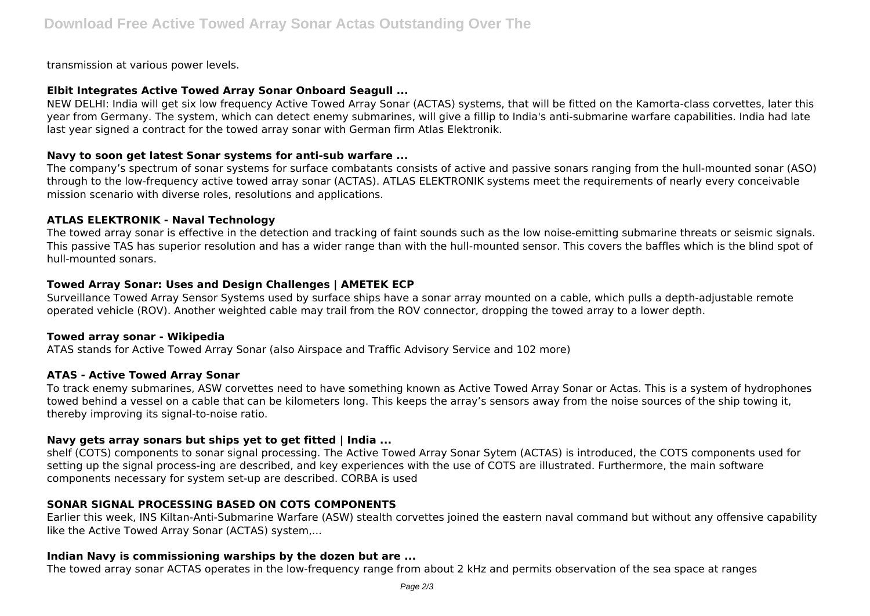transmission at various power levels.

## **Elbit Integrates Active Towed Array Sonar Onboard Seagull ...**

NEW DELHI: India will get six low frequency Active Towed Array Sonar (ACTAS) systems, that will be fitted on the Kamorta-class corvettes, later this year from Germany. The system, which can detect enemy submarines, will give a fillip to India's anti-submarine warfare capabilities. India had late last year signed a contract for the towed array sonar with German firm Atlas Elektronik.

## **Navy to soon get latest Sonar systems for anti-sub warfare ...**

The company's spectrum of sonar systems for surface combatants consists of active and passive sonars ranging from the hull-mounted sonar (ASO) through to the low-frequency active towed array sonar (ACTAS). ATLAS ELEKTRONIK systems meet the requirements of nearly every conceivable mission scenario with diverse roles, resolutions and applications.

## **ATLAS ELEKTRONIK - Naval Technology**

The towed array sonar is effective in the detection and tracking of faint sounds such as the low noise-emitting submarine threats or seismic signals. This passive TAS has superior resolution and has a wider range than with the hull-mounted sensor. This covers the baffles which is the blind spot of hull-mounted sonars.

# **Towed Array Sonar: Uses and Design Challenges | AMETEK ECP**

Surveillance Towed Array Sensor Systems used by surface ships have a sonar array mounted on a cable, which pulls a depth-adjustable remote operated vehicle (ROV). Another weighted cable may trail from the ROV connector, dropping the towed array to a lower depth.

## **Towed array sonar - Wikipedia**

ATAS stands for Active Towed Array Sonar (also Airspace and Traffic Advisory Service and 102 more)

# **ATAS - Active Towed Array Sonar**

To track enemy submarines, ASW corvettes need to have something known as Active Towed Array Sonar or Actas. This is a system of hydrophones towed behind a vessel on a cable that can be kilometers long. This keeps the array's sensors away from the noise sources of the ship towing it, thereby improving its signal-to-noise ratio.

# **Navy gets array sonars but ships yet to get fitted | India ...**

shelf (COTS) components to sonar signal processing. The Active Towed Array Sonar Sytem (ACTAS) is introduced, the COTS components used for setting up the signal process-ing are described, and key experiences with the use of COTS are illustrated. Furthermore, the main software components necessary for system set-up are described. CORBA is used

# **SONAR SIGNAL PROCESSING BASED ON COTS COMPONENTS**

Earlier this week, INS Kiltan-Anti-Submarine Warfare (ASW) stealth corvettes joined the eastern naval command but without any offensive capability like the Active Towed Array Sonar (ACTAS) system,...

## **Indian Navy is commissioning warships by the dozen but are ...**

The towed array sonar ACTAS operates in the low-frequency range from about 2 kHz and permits observation of the sea space at ranges